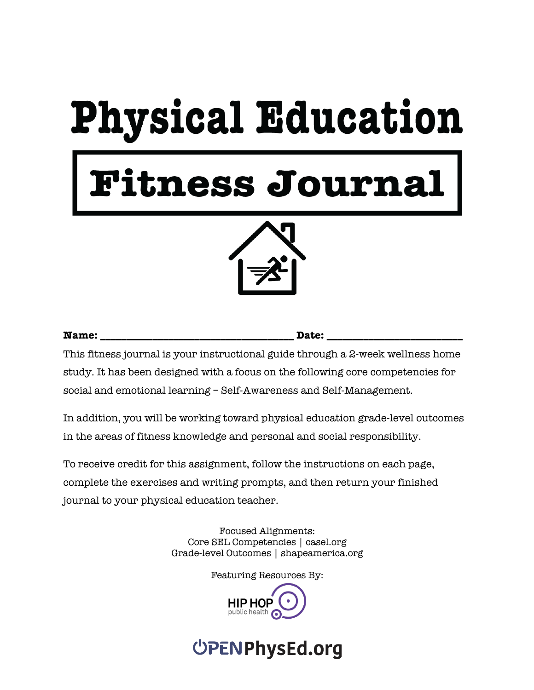# **Physical Education**

## tness Journal



**Name: Name: Name: Name: Date: Date: Date: Date: Date: Date: Date: Date: Date: Date: Date: Date: Date: Date: Date: Date: Date: Date: Date: Date: Date: Date: Date: Date:** 

This fitness journal is your instructional guide through a 2-week wellness home study. It has been designed with a focus on the following core competencies for social and emotional learning – Self-Awareness and Self-Management.

In addition, you will be working toward physical education grade-level outcomes in the areas of fitness knowledge and personal and social responsibility.

To receive credit for this assignment, follow the instructions on each page, complete the exercises and writing prompts, and then return your finished journal to your physical education teacher.

> Focused Alignments: Core SEL Competencies | casel.org Grade-level Outcomes | shapeamerica.org

> > Featuring Resources By:

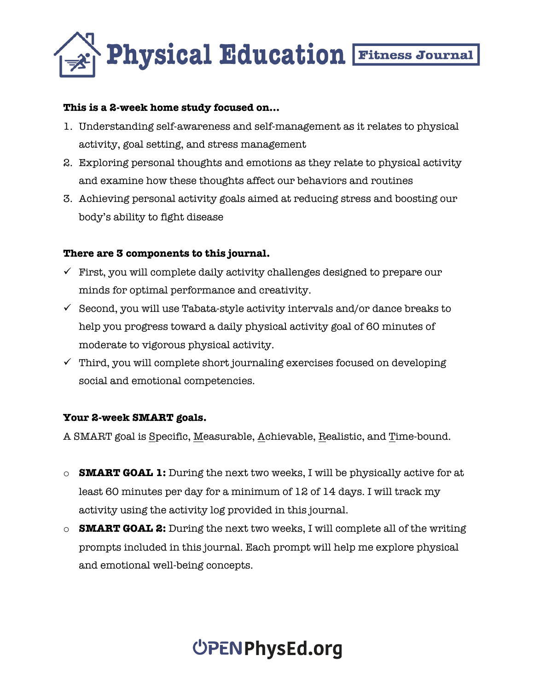

#### **This is a 2-week home study focused on…**

- 1. Understanding self-awareness and self-management as it relates to physical activity, goal setting, and stress management
- 2. Exploring personal thoughts and emotions as they relate to physical activity and examine how these thoughts affect our behaviors and routines
- 3. Achieving personal activity goals aimed at reducing stress and boosting our body's ability to fight disease

#### **There are 3 components to this journal.**

- $\checkmark$  First, you will complete daily activity challenges designed to prepare our minds for optimal performance and creativity.
- $\checkmark$  Second, you will use Tabata-style activity intervals and/or dance breaks to help you progress toward a daily physical activity goal of 60 minutes of moderate to vigorous physical activity.
- $\checkmark$  Third, you will complete short journaling exercises focused on developing social and emotional competencies.

#### **Your 2-week SMART goals.**

A SMART goal is Specific, Measurable, Achievable, Realistic, and Time-bound.

- o **SMART GOAL 1:** During the next two weeks, I will be physically active for at least 60 minutes per day for a minimum of 12 of 14 days. I will track my activity using the activity log provided in this journal.
- o **SMART GOAL 2:** During the next two weeks, I will complete all of the writing prompts included in this journal. Each prompt will help me explore physical and emotional well-being concepts.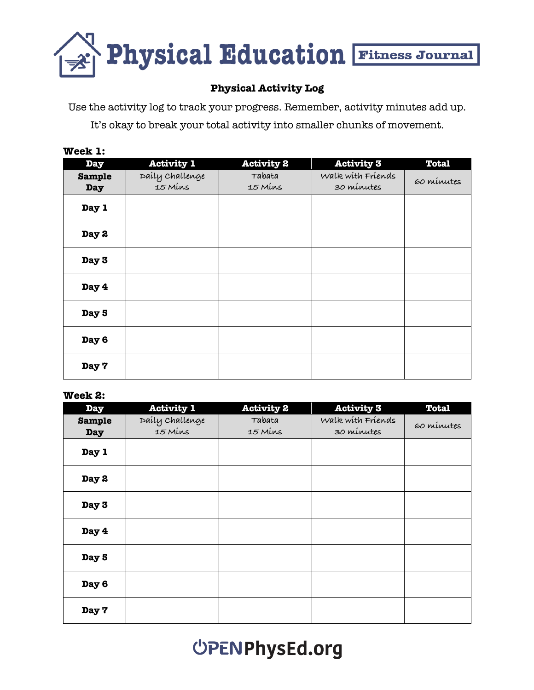

#### **Physical Activity Log**

Use the activity log to track your progress. Remember, activity minutes add up.

It's okay to break your total activity into smaller chunks of movement.

#### **Week 1:**

| <b>Day</b>                  | <b>Activity 1</b>          | <b>Activity 2</b> | <b>Activity 3</b>               | <b>Total</b> |
|-----------------------------|----------------------------|-------------------|---------------------------------|--------------|
| <b>Sample</b><br><b>Day</b> | Daily Challenge<br>15 Mins | Tabata<br>15 Mins | Walk with Friends<br>30 minutes | 60 minutes   |
| Day 1                       |                            |                   |                                 |              |
| Day 2                       |                            |                   |                                 |              |
| Day 3                       |                            |                   |                                 |              |
| Day 4                       |                            |                   |                                 |              |
| Day 5                       |                            |                   |                                 |              |
| Day 6                       |                            |                   |                                 |              |
| Day 7                       |                            |                   |                                 |              |

#### **Week 2:**

| <b>Day</b>                  | <b>Activity 1</b>          | <b>Activity 2</b> | <b>Activity 3</b>               | <b>Total</b> |
|-----------------------------|----------------------------|-------------------|---------------------------------|--------------|
| <b>Sample</b><br><b>Day</b> | Daily Challenge<br>15 Mins | Tabata<br>15 Mins | Walk with Friends<br>30 minutes | 60 minutes   |
| Day 1                       |                            |                   |                                 |              |
| Day 2                       |                            |                   |                                 |              |
| Day 3                       |                            |                   |                                 |              |
| Day 4                       |                            |                   |                                 |              |
| Day 5                       |                            |                   |                                 |              |
| Day 6                       |                            |                   |                                 |              |
| Day 7                       |                            |                   |                                 |              |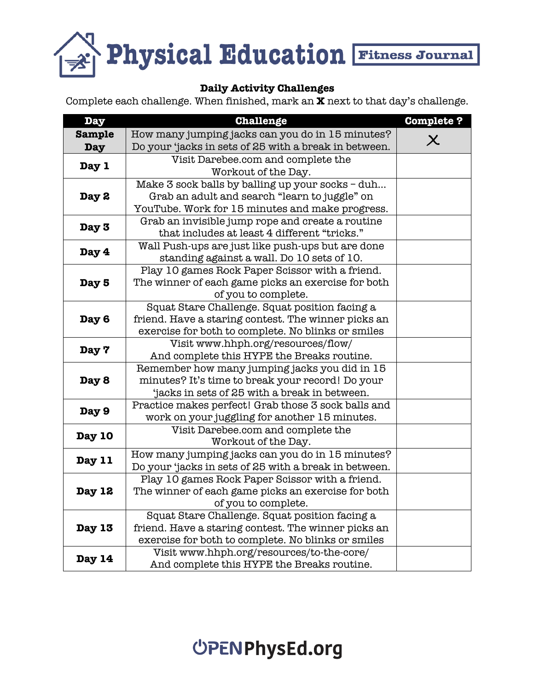

#### **Daily Activity Challenges**

Complete each challenge. When finished, mark an **X** next to that day's challenge.

| <b>Day</b>    | <b>Challenge</b>                                                                                 | <b>Complete?</b>          |
|---------------|--------------------------------------------------------------------------------------------------|---------------------------|
| <b>Sample</b> | How many jumping jacks can you do in 15 minutes?                                                 |                           |
| <b>Day</b>    | Do your 'jacks in sets of 25 with a break in between.                                            | $\boldsymbol{\mathsf{X}}$ |
|               | Visit Darebee.com and complete the                                                               |                           |
| Day 1         | Workout of the Day.                                                                              |                           |
|               | Make 3 sock balls by balling up your socks - duh                                                 |                           |
| Day 2         | Grab an adult and search "learn to juggle" on                                                    |                           |
|               | YouTube. Work for 15 minutes and make progress.                                                  |                           |
| Day 3         | Grab an invisible jump rope and create a routine                                                 |                           |
|               | that includes at least 4 different "tricks."                                                     |                           |
| Day 4         | Wall Push-ups are just like push-ups but are done                                                |                           |
|               | standing against a wall. Do 10 sets of 10.                                                       |                           |
|               | Play 10 games Rock Paper Scissor with a friend.                                                  |                           |
| Day 5         | The winner of each game picks an exercise for both                                               |                           |
|               | of you to complete.                                                                              |                           |
|               | Squat Stare Challenge. Squat position facing a                                                   |                           |
| Day 6         | friend. Have a staring contest. The winner picks an                                              |                           |
|               | exercise for both to complete. No blinks or smiles                                               |                           |
| Day 7         | Visit www.hhph.org/resources/flow/                                                               |                           |
|               | And complete this HYPE the Breaks routine.                                                       |                           |
|               | Remember how many jumping jacks you did in 15                                                    |                           |
| Day 8         | minutes? It's time to break your record! Do your<br>jacks in sets of 25 with a break in between. |                           |
|               | Practice makes perfect! Grab those 3 sock balls and                                              |                           |
| Day 9         | work on your juggling for another 15 minutes.                                                    |                           |
|               | Visit Darebee.com and complete the                                                               |                           |
| Day 10        | Workout of the Day.                                                                              |                           |
|               | How many jumping jacks can you do in 15 minutes?                                                 |                           |
| Day 11        | Do your 'jacks in sets of 25 with a break in between.                                            |                           |
|               | Play 10 games Rock Paper Scissor with a friend.                                                  |                           |
| Day 12        | The winner of each game picks an exercise for both                                               |                           |
|               | of you to complete.                                                                              |                           |
|               | Squat Stare Challenge. Squat position facing a                                                   |                           |
| <b>Day 13</b> | friend. Have a staring contest. The winner picks an                                              |                           |
|               | exercise for both to complete. No blinks or smiles                                               |                           |
|               | Visit www.hhph.org/resources/to-the-core/                                                        |                           |
| Day 14        | And complete this HYPE the Breaks routine.                                                       |                           |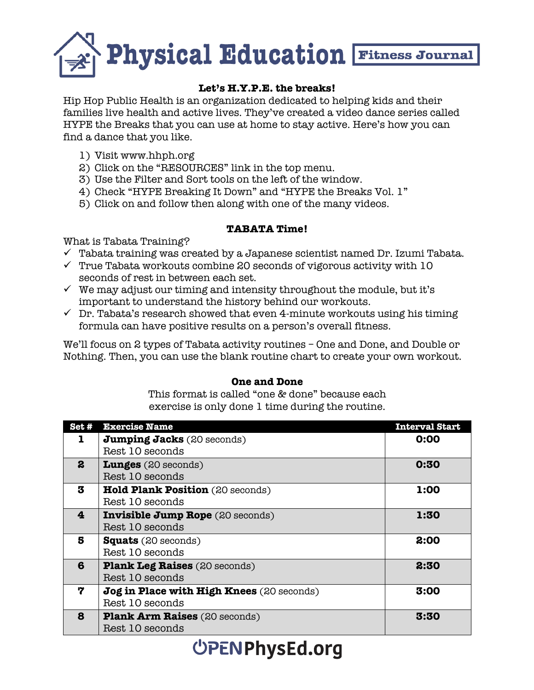

#### **Let's H.Y.P.E. the breaks!**

Hip Hop Public Health is an organization dedicated to helping kids and their families live health and active lives. They've created a video dance series called HYPE the Breaks that you can use at home to stay active. Here's how you can find a dance that you like.

- 1) Visit www.hhph.org
- 2) Click on the "RESOURCES" link in the top menu.
- 3) Use the Filter and Sort tools on the left of the window.
- 4) Check "HYPE Breaking It Down" and "HYPE the Breaks Vol. 1"
- 5) Click on and follow then along with one of the many videos.

#### **TABATA Time!**

What is Tabata Training?

- $\checkmark$  Tabata training was created by a Japanese scientist named Dr. Izumi Tabata.
- $\checkmark$  True Tabata workouts combine 20 seconds of vigorous activity with 10 seconds of rest in between each set.
- $\checkmark$  We may adjust our timing and intensity throughout the module, but it's important to understand the history behind our workouts.
- $\checkmark$  Dr. Tabata's research showed that even 4-minute workouts using his timing formula can have positive results on a person's overall fitness.

We'll focus on 2 types of Tabata activity routines – One and Done, and Double or Nothing. Then, you can use the blank routine chart to create your own workout.

#### **One and Done**

This format is called "one & done" because each exercise is only done 1 time during the routine.

| Set# | <b>Exercise Name</b>                      | <b>Interval Start</b> |
|------|-------------------------------------------|-----------------------|
|      | <b>Jumping Jacks</b> (20 seconds)         | 0:00                  |
|      | Rest 10 seconds                           |                       |
| 2    | <b>Lunges</b> $(20$ seconds)              | 0:30                  |
|      | Rest 10 seconds                           |                       |
| 3    | <b>Hold Plank Position</b> (20 seconds)   | 1:00                  |
|      | Rest 10 seconds                           |                       |
| 4    | <b>Invisible Jump Rope</b> (20 seconds)   | 1:30                  |
|      | Rest 10 seconds                           |                       |
| 5    | <b>Squats</b> (20 seconds)                | 2:00                  |
|      | Rest 10 seconds                           |                       |
| 6    | <b>Plank Leg Raises</b> (20 seconds)      | 2:30                  |
|      | Rest 10 seconds                           |                       |
| 7    | Jog in Place with High Knees (20 seconds) | 3:00                  |
|      | Rest 10 seconds                           |                       |
| 8    | <b>Plank Arm Raises</b> (20 seconds)      | 3:30                  |
|      | Rest 10 seconds                           |                       |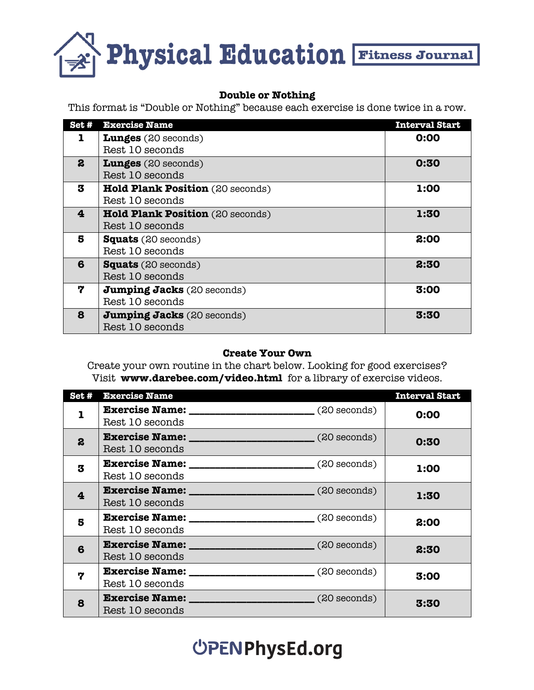

#### **Double or Nothing**

This format is "Double or Nothing" because each exercise is done twice in a row.

| Set#                    | <b>Exercise Name</b>              | <b>Interval Start</b> |
|-------------------------|-----------------------------------|-----------------------|
| 1                       | Lunges (20 seconds)               | 0:00                  |
|                         | Rest 10 seconds                   |                       |
| $\boldsymbol{2}$        | <b>Lunges</b> (20 seconds)        | 0:30                  |
|                         | Rest 10 seconds                   |                       |
| 3                       | Hold Plank Position (20 seconds)  | 1:00                  |
|                         | Rest 10 seconds                   |                       |
| $\overline{\mathbf{4}}$ | Hold Plank Position (20 seconds)  | 1:30                  |
|                         | Rest 10 seconds                   |                       |
| 5                       | <b>Squats</b> (20 seconds)        | 2:00                  |
|                         | Rest 10 seconds                   |                       |
| 6                       | <b>Squats</b> (20 seconds)        | 2:30                  |
|                         | Rest 10 seconds                   |                       |
| 7                       | <b>Jumping Jacks</b> (20 seconds) | 3:00                  |
|                         | Rest 10 seconds                   |                       |
| 8                       | <b>Jumping Jacks</b> (20 seconds) | 3:30                  |
|                         | Rest 10 seconds                   |                       |

#### **Create Your Own**

Create your own routine in the chart below. Looking for good exercises? Visit **www.darebee.com/video.html** for a library of exercise videos.

| Set#                    | <b>Exercise Name</b>                     |                                                            | <b>Interval Start</b> |
|-------------------------|------------------------------------------|------------------------------------------------------------|-----------------------|
| 1                       | <b>Exercise Name:</b><br>Rest 10 seconds | $(20 \text{ seconds})$                                     | 0:00                  |
| $\boldsymbol{2}$        | Rest 10 seconds                          | <b>Exercise Name:</b> (20 seconds)                         | 0:30                  |
| 3                       | Rest 10 seconds                          |                                                            | 1:00                  |
| $\overline{\mathbf{4}}$ | Rest 10 seconds                          | Exercise Name: _________________________(20 seconds)       | 1:30                  |
| 5                       | Rest 10 seconds                          | <b>Exercise Name:</b> _______________________(20 seconds)  | 2:00                  |
| 6                       | Rest 10 seconds                          | <b>Exercise Name:</b> ________________________(20 seconds) | 2:30                  |
| 7                       | Rest 10 seconds                          |                                                            | 3:00                  |
| 8                       | Rest 10 seconds                          | <b>Exercise Name:</b> _______________________(20 seconds)  | 3:30                  |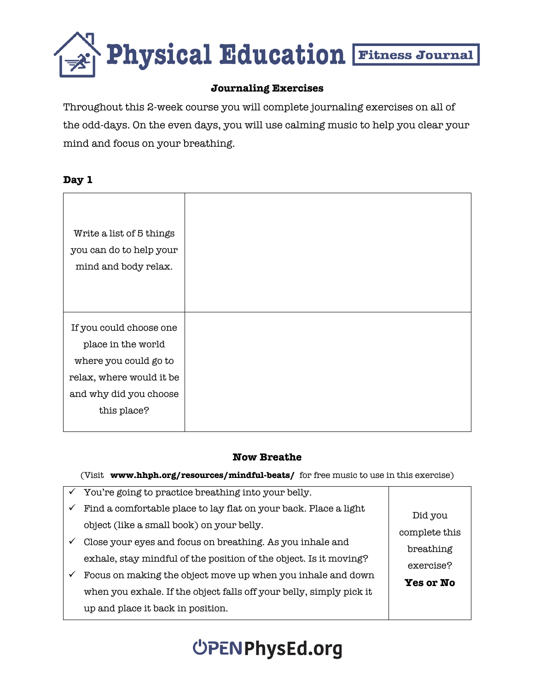

#### **Journaling Exercises**

Throughout this 2-week course you will complete journaling exercises on all of the odd-days. On the even days, you will use calming music to help you clear your mind and focus on your breathing.

#### **Day 1**

| If you could choose one  |
|--------------------------|
| place in the world       |
| where you could go to    |
| relax, where would it be |
| and why did you choose   |
| this place?              |

#### **Now Breathe**

|              | You're going to practice breathing into your belly.                                                           |                        |
|--------------|---------------------------------------------------------------------------------------------------------------|------------------------|
| $\checkmark$ | Find a comfortable place to lay flat on your back. Place a light<br>object (like a small book) on your belly. | Did you                |
| ✓            | Close your eyes and focus on breathing. As you inhale and                                                     | complete this          |
|              | exhale, stay mindful of the position of the object. Is it moving?                                             | breathing<br>exercise? |
| ✓            | Focus on making the object move up when you inhale and down                                                   | <b>Yes or No</b>       |
|              | when you exhale. If the object falls off your belly, simply pick it                                           |                        |
|              | up and place it back in position.                                                                             |                        |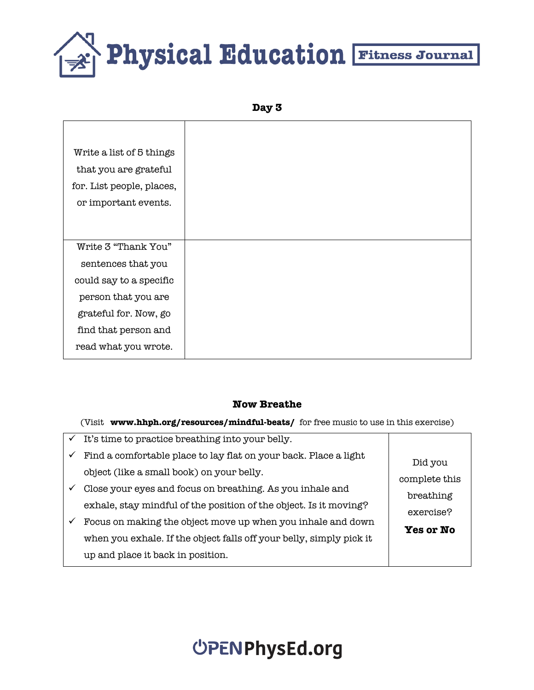**Day 3**

| Write a list of 5 things<br>that you are grateful<br>for. List people, places,<br>or important events. |
|--------------------------------------------------------------------------------------------------------|
|                                                                                                        |
| Write 3 "Thank You"<br>sentences that you                                                              |
| could say to a specific                                                                                |
| person that you are<br>grateful for. Now, go                                                           |
| find that person and                                                                                   |
| read what you wrote.                                                                                   |

#### **Now Breathe**

| $\checkmark$ | It's time to practice breathing into your belly.                    |                  |
|--------------|---------------------------------------------------------------------|------------------|
| $\checkmark$ | Find a comfortable place to lay flat on your back. Place a light    | Did you          |
|              | object (like a small book) on your belly.                           | complete this    |
|              | Close your eyes and focus on breathing. As you inhale and           | breathing        |
|              | exhale, stay mindful of the position of the object. Is it moving?   | exercise?        |
| $\checkmark$ | Focus on making the object move up when you inhale and down         |                  |
|              | when you exhale. If the object falls off your belly, simply pick it | <b>Yes or No</b> |
|              | up and place it back in position.                                   |                  |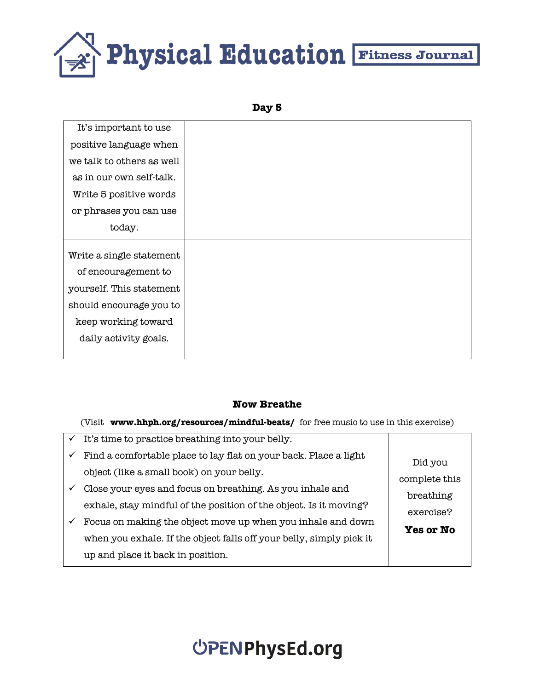```
Day 5
```

| It's important to use     |  |
|---------------------------|--|
|                           |  |
| positive language when    |  |
| we talk to others as well |  |
| as in our own self-talk.  |  |
| Write 5 positive words    |  |
| or phrases you can use    |  |
| today.                    |  |
|                           |  |
| Write a single statement  |  |
| of encouragement to       |  |
| yourself. This statement  |  |
| should encourage you to   |  |
| keep working toward       |  |
| daily activity goals.     |  |
|                           |  |

#### **Now Breathe**

(Visit **www.hhph.org/resources/mindful-beats/** for free music to use in this exercise)

|              | It's time to practice breathing into your belly.                    |                  |
|--------------|---------------------------------------------------------------------|------------------|
| $\checkmark$ | Find a comfortable place to lay flat on your back. Place a light    | Did you          |
|              | object (like a small book) on your belly.                           | complete this    |
|              | Close your eyes and focus on breathing. As you inhale and           | breathing        |
|              | exhale, stay mindful of the position of the object. Is it moving?   | exercise?        |
| ✓            | Focus on making the object move up when you inhale and down         | <b>Yes or No</b> |
|              | when you exhale. If the object falls off your belly, simply pick it |                  |
|              | up and place it back in position.                                   |                  |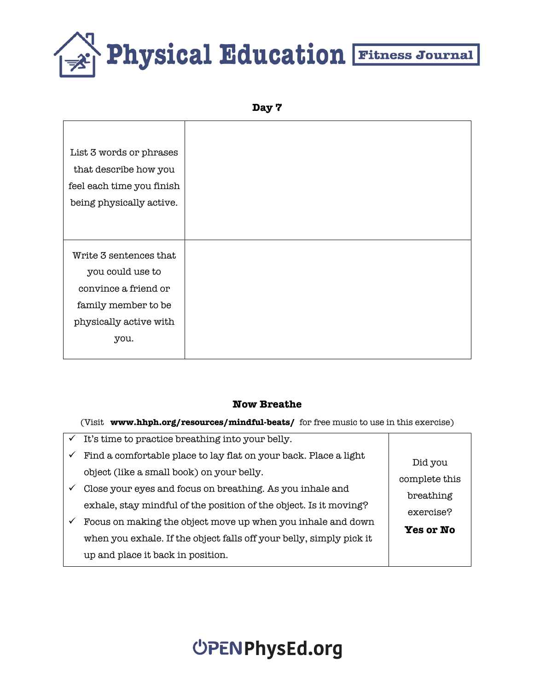```
Day 7
```

| List 3 words or phrases   |
|---------------------------|
| that describe how you     |
| feel each time you finish |
| being physically active.  |
|                           |
|                           |
|                           |
| Write 3 sentences that    |
| you could use to          |
| convince a friend or      |
| family member to be       |
| physically active with    |
| you.                      |

#### **Now Breathe**

| $\checkmark$ | It's time to practice breathing into your belly.                    |                  |
|--------------|---------------------------------------------------------------------|------------------|
| $\checkmark$ | Find a comfortable place to lay flat on your back. Place a light    | Did you          |
|              | object (like a small book) on your belly.                           | complete this    |
|              | Close your eyes and focus on breathing. As you inhale and           | breathing        |
|              | exhale, stay mindful of the position of the object. Is it moving?   | exercise?        |
| $\checkmark$ | Focus on making the object move up when you inhale and down         |                  |
|              | when you exhale. If the object falls off your belly, simply pick it | <b>Yes or No</b> |
|              | up and place it back in position.                                   |                  |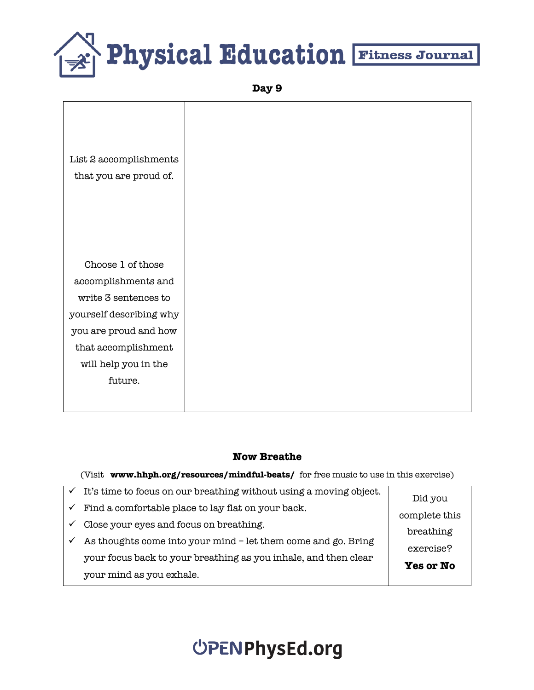**Day 9**

| List 2 accomplishments<br>that you are proud of.                                                                                                                               |  |
|--------------------------------------------------------------------------------------------------------------------------------------------------------------------------------|--|
| Choose 1 of those<br>accomplishments and<br>write 3 sentences to<br>yourself describing why<br>you are proud and how<br>that accomplishment<br>will help you in the<br>future. |  |

#### **Now Breathe**

| $\checkmark$ It's time to focus on our breathing without using a moving object. | Did you          |  |
|---------------------------------------------------------------------------------|------------------|--|
| Find a comfortable place to lay flat on your back.                              |                  |  |
| Close your eyes and focus on breathing.                                         | complete this    |  |
| As thoughts come into your mind - let them come and go. Bring                   | breathing        |  |
|                                                                                 | exercise?        |  |
| your focus back to your breathing as you inhale, and then clear                 | <b>Yes or No</b> |  |
| your mind as you exhale.                                                        |                  |  |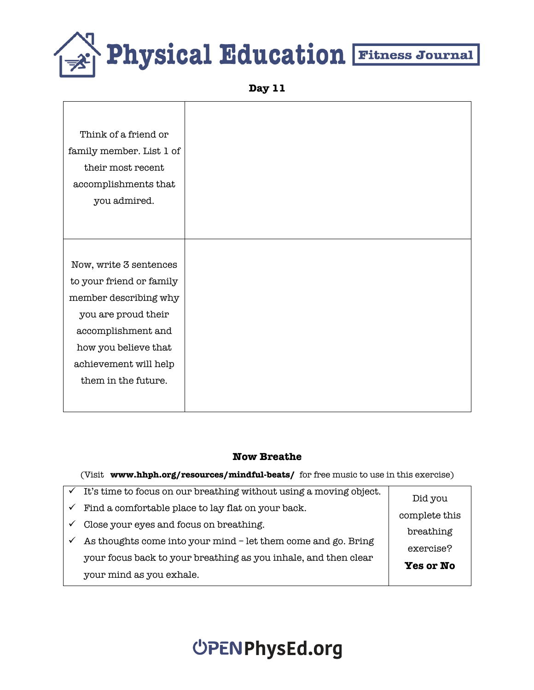**Day 11**

#### **Now Breathe**

| $\checkmark$ It's time to focus on our breathing without using a moving object. | Did you       |  |
|---------------------------------------------------------------------------------|---------------|--|
| Find a comfortable place to lay flat on your back.                              |               |  |
| Close your eyes and focus on breathing.                                         | complete this |  |
| As thoughts come into your mind - let them come and go. Bring                   | breathing     |  |
|                                                                                 | exercise?     |  |
| your focus back to your breathing as you inhale, and then clear                 | Yes or No     |  |
| your mind as you exhale.                                                        |               |  |